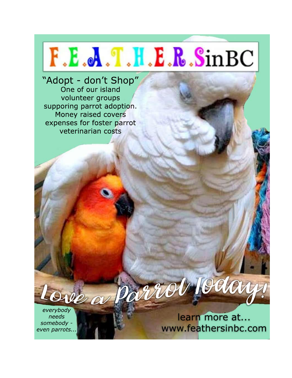

"Adopt - don't Shop" One of our island volunteer groups supporing parrot adoption. Money raised covers expenses for foster parrot veterinarian costs

Ove a Parr everybody needs somebody even parrots..

learn more at... www.feathersinbc.com

Today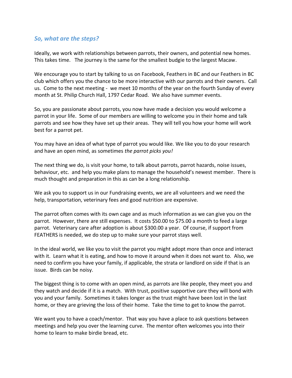## *So, what are the steps?*

Ideally, we work with relationships between parrots, their owners, and potential new homes. This takes time. The journey is the same for the smallest budgie to the largest Macaw.

We encourage you to start by talking to us on Facebook, Feathers in BC and our Feathers in BC club which offers you the chance to be more interactive with our parrots and their owners. Call us. Come to the next meeting - we meet 10 months of the year on the fourth Sunday of every month at St. Philip Church Hall, 1797 Cedar Road. We also have summer events.

So, you are passionate about parrots, you now have made a decision you would welcome a parrot in your life. Some of our members are willing to welcome you in their home and talk parrots and see how they have set up their areas. They will tell you how your home will work best for a parrot pet.

You may have an idea of what type of parrot you would like. We like you to do your research and have an open mind, as sometimes *the parrot picks you!*

The next thing we do, is visit your home, to talk about parrots, parrot hazards, noise issues, behaviour, etc. and help you make plans to manage the household's newest member. There is much thought and preparation in this as can be a long relationship.

We ask you to support us in our Fundraising events, we are all volunteers and we need the help, transportation, veterinary fees and good nutrition are expensive.

The parrot often comes with its own cage and as much information as we can give you on the parrot. However, there are still expenses. It costs \$50.00 to \$75.00 a month to feed a large parrot. Veterinary care after adoption is about \$300.00 a year. Of course, if support from FEATHERS is needed, we do step up to make sure your parrot stays well.

In the ideal world, we like you to visit the parrot you might adopt more than once and interact with it. Learn what it is eating, and how to move it around when it does not want to. Also, we need to confirm you have your family, if applicable, the strata or landlord on side if that is an issue. Birds can be noisy.

The biggest thing is to come with an open mind, as parrots are like people, they meet you and they watch and decide if it is a match. With trust, positive supportive care they will bond with you and your family. Sometimes it takes longer as the trust might have been lost in the last home, or they are grieving the loss of their home. Take the time to get to know the parrot.

We want you to have a coach/mentor. That way you have a place to ask questions between meetings and help you over the learning curve. The mentor often welcomes you into their home to learn to make birdie bread, etc.